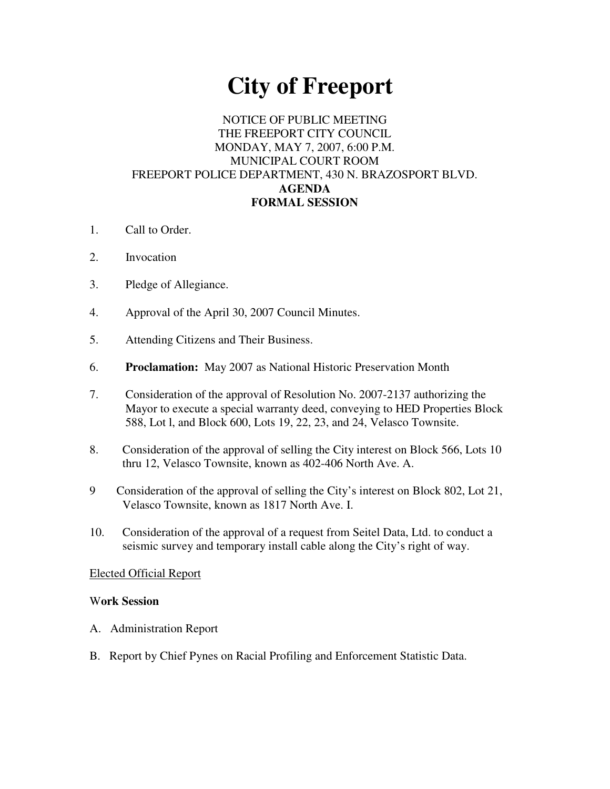# **City of Freeport**

## NOTICE OF PUBLIC MEETING THE FREEPORT CITY COUNCIL MONDAY, MAY 7, 2007, 6:00 P.M. MUNICIPAL COURT ROOM FREEPORT POLICE DEPARTMENT, 430 N. BRAZOSPORT BLVD. **AGENDA FORMAL SESSION**

- 1. Call to Order.
- 2. Invocation
- 3. Pledge of Allegiance.
- 4. Approval of the April 30, 2007 Council Minutes.
- 5. Attending Citizens and Their Business.
- 6. **Proclamation:** May 2007 as National Historic Preservation Month
- 7. Consideration of the approval of Resolution No. 2007-2137 authorizing the Mayor to execute a special warranty deed, conveying to HED Properties Block 588, Lot l, and Block 600, Lots 19, 22, 23, and 24, Velasco Townsite.
- 8. Consideration of the approval of selling the City interest on Block 566, Lots 10 thru 12, Velasco Townsite, known as 402-406 North Ave. A.
- 9 Consideration of the approval of selling the City's interest on Block 802, Lot 21, Velasco Townsite, known as 1817 North Ave. I.
- 10. Consideration of the approval of a request from Seitel Data, Ltd. to conduct a seismic survey and temporary install cable along the City's right of way.

### Elected Official Report

#### W**ork Session**

- A. Administration Report
- B. Report by Chief Pynes on Racial Profiling and Enforcement Statistic Data.